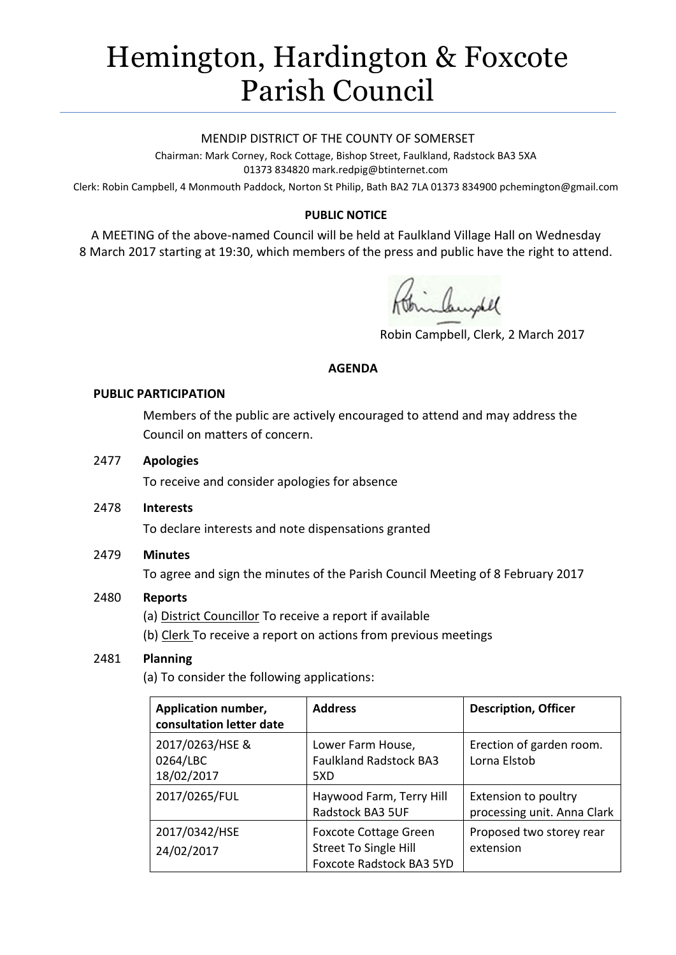# Hemington, Hardington & Foxcote Parish Council

#### MENDIP DISTRICT OF THE COUNTY OF SOMERSET

Chairman: Mark Corney, Rock Cottage, Bishop Street, Faulkland, Radstock BA3 5XA 01373 834820 mark.redpig@btinternet.com

Clerk: Robin Campbell, 4 Monmouth Paddock, Norton St Philip, Bath BA2 7LA 01373 834900 [pchemington@gmail.com](mailto:pchemington@gmail.com)

## **PUBLIC NOTICE**

A MEETING of the above-named Council will be held at Faulkland Village Hall on Wednesday 8 March 2017 starting at 19:30, which members of the press and public have the right to attend.

inhundel

Robin Campbell, Clerk, 2 March 2017

#### **AGENDA**

#### **PUBLIC PARTICIPATION**

Members of the public are actively encouraged to attend and may address the Council on matters of concern.

#### 2477 **Apologies**

To receive and consider apologies for absence

2478 **Interests**

To declare interests and note dispensations granted

## 2479 **Minutes**

To agree and sign the minutes of the Parish Council Meeting of 8 February 2017

## 2480 **Reports**

(a) District Councillor To receive a report if available

(b) Clerk To receive a report on actions from previous meetings

## 2481 **Planning**

(a) To consider the following applications:

| Application number,<br>consultation letter date | <b>Address</b>                                                                           | <b>Description, Officer</b>                         |
|-------------------------------------------------|------------------------------------------------------------------------------------------|-----------------------------------------------------|
| 2017/0263/HSE &<br>0264/LBC<br>18/02/2017       | Lower Farm House,<br><b>Faulkland Radstock BA3</b><br>5XD                                | Erection of garden room.<br>Lorna Elstob            |
| 2017/0265/FUL                                   | Haywood Farm, Terry Hill<br>Radstock BA3 5UF                                             | Extension to poultry<br>processing unit. Anna Clark |
| 2017/0342/HSE<br>24/02/2017                     | <b>Foxcote Cottage Green</b><br><b>Street To Single Hill</b><br>Foxcote Radstock BA3 5YD | Proposed two storey rear<br>extension               |